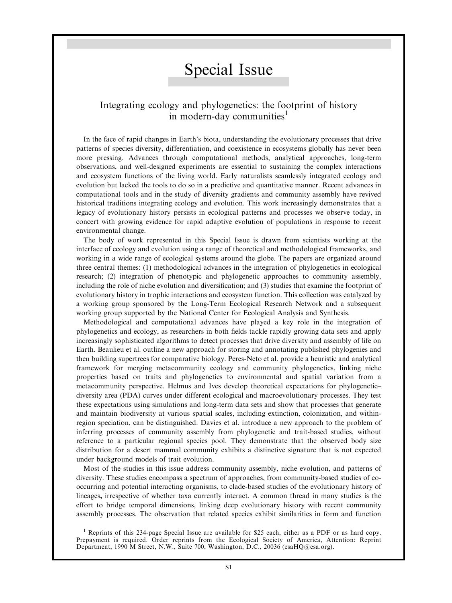## Special Issue

## Integrating ecology and phylogenetics: the footprint of history in modern-day communities<sup>1</sup>

In the face of rapid changes in Earth's biota, understanding the evolutionary processes that drive patterns of species diversity, differentiation, and coexistence in ecosystems globally has never been more pressing. Advances through computational methods, analytical approaches, long-term observations, and well-designed experiments are essential to sustaining the complex interactions and ecosystem functions of the living world. Early naturalists seamlessly integrated ecology and evolution but lacked the tools to do so in a predictive and quantitative manner. Recent advances in computational tools and in the study of diversity gradients and community assembly have revived historical traditions integrating ecology and evolution. This work increasingly demonstrates that a legacy of evolutionary history persists in ecological patterns and processes we observe today, in concert with growing evidence for rapid adaptive evolution of populations in response to recent environmental change.

The body of work represented in this Special Issue is drawn from scientists working at the interface of ecology and evolution using a range of theoretical and methodological frameworks, and working in a wide range of ecological systems around the globe. The papers are organized around three central themes: (1) methodological advances in the integration of phylogenetics in ecological research; (2) integration of phenotypic and phylogenetic approaches to community assembly, including the role of niche evolution and diversification; and (3) studies that examine the footprint of evolutionary history in trophic interactions and ecosystem function. This collection was catalyzed by a working group sponsored by the Long-Term Ecological Research Network and a subsequent working group supported by the National Center for Ecological Analysis and Synthesis.

Methodological and computational advances have played a key role in the integration of phylogenetics and ecology, as researchers in both fields tackle rapidly growing data sets and apply increasingly sophisticated algorithms to detect processes that drive diversity and assembly of life on Earth. Beaulieu et al. outline a new approach for storing and annotating published phylogenies and then building supertrees for comparative biology. Peres-Neto et al. provide a heuristic and analytical framework for merging metacommunity ecology and community phylogenetics, linking niche properties based on traits and phylogenetics to environmental and spatial variation from a metacommunity perspective. Helmus and Ives develop theoretical expectations for phylogenetic– diversity area (PDA) curves under different ecological and macroevolutionary processes. They test these expectations using simulations and long-term data sets and show that processes that generate and maintain biodiversity at various spatial scales, including extinction, colonization, and withinregion speciation, can be distinguished. Davies et al. introduce a new approach to the problem of inferring processes of community assembly from phylogenetic and trait-based studies, without reference to a particular regional species pool. They demonstrate that the observed body size distribution for a desert mammal community exhibits a distinctive signature that is not expected under background models of trait evolution.

Most of the studies in this issue address community assembly, niche evolution, and patterns of diversity. These studies encompass a spectrum of approaches, from community-based studies of cooccurring and potential interacting organisms, to clade-based studies of the evolutionary history of lineages, irrespective of whether taxa currently interact. A common thread in many studies is the effort to bridge temporal dimensions, linking deep evolutionary history with recent community assembly processes. The observation that related species exhibit similarities in form and function

<sup>1</sup> Reprints of this 234-page Special Issue are available for \$25 each, either as a PDF or as hard copy. Prepayment is required. Order reprints from the Ecological Society of America, Attention: Reprint Department, 1990 M Street, N.W., Suite 700, Washington, D.C., 20036 (esaHQ@esa.org).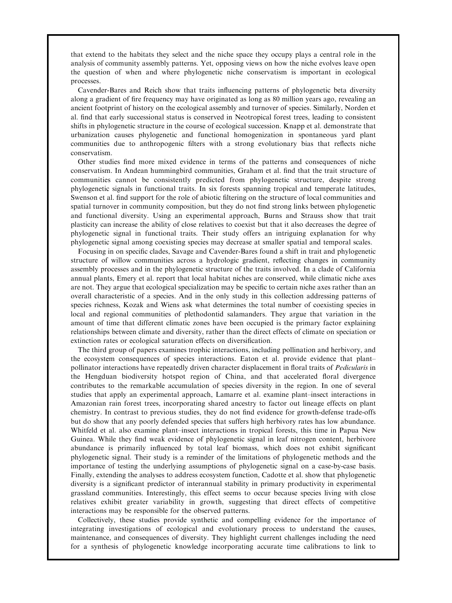that extend to the habitats they select and the niche space they occupy plays a central role in the analysis of community assembly patterns. Yet, opposing views on how the niche evolves leave open the question of when and where phylogenetic niche conservatism is important in ecological processes.

Cavender-Bares and Reich show that traits influencing patterns of phylogenetic beta diversity along a gradient of fire frequency may have originated as long as 80 million years ago, revealing an ancient footprint of history on the ecological assembly and turnover of species. Similarly, Norden et al. find that early successional status is conserved in Neotropical forest trees, leading to consistent shifts in phylogenetic structure in the course of ecological succession. Knapp et al. demonstrate that urbanization causes phylogenetic and functional homogenization in spontaneous yard plant communities due to anthropogenic filters with a strong evolutionary bias that reflects niche conservatism.

Other studies find more mixed evidence in terms of the patterns and consequences of niche conservatism. In Andean hummingbird communities, Graham et al. find that the trait structure of communities cannot be consistently predicted from phylogenetic structure, despite strong phylogenetic signals in functional traits. In six forests spanning tropical and temperate latitudes, Swenson et al. find support for the role of abiotic filtering on the structure of local communities and spatial turnover in community composition, but they do not find strong links between phylogenetic and functional diversity. Using an experimental approach, Burns and Strauss show that trait plasticity can increase the ability of close relatives to coexist but that it also decreases the degree of phylogenetic signal in functional traits. Their study offers an intriguing explanation for why phylogenetic signal among coexisting species may decrease at smaller spatial and temporal scales.

Focusing in on specific clades, Savage and Cavender-Bares found a shift in trait and phylogenetic structure of willow communities across a hydrologic gradient, reflecting changes in community assembly processes and in the phylogenetic structure of the traits involved. In a clade of California annual plants, Emery et al. report that local habitat niches are conserved, while climatic niche axes are not. They argue that ecological specialization may be specific to certain niche axes rather than an overall characteristic of a species. And in the only study in this collection addressing patterns of species richness, Kozak and Wiens ask what determines the total number of coexisting species in local and regional communities of plethodontid salamanders. They argue that variation in the amount of time that different climatic zones have been occupied is the primary factor explaining relationships between climate and diversity, rather than the direct effects of climate on speciation or extinction rates or ecological saturation effects on diversification.

The third group of papers examines trophic interactions, including pollination and herbivory, and the ecosystem consequences of species interactions. Eaton et al. provide evidence that plant– pollinator interactions have repeatedly driven character displacement in floral traits of Pedicularis in the Hengduan biodiversity hotspot region of China, and that accelerated floral divergence contributes to the remarkable accumulation of species diversity in the region. In one of several studies that apply an experimental approach, Lamarre et al. examine plant–insect interactions in Amazonian rain forest trees, incorporating shared ancestry to factor out lineage effects on plant chemistry. In contrast to previous studies, they do not find evidence for growth-defense trade-offs but do show that any poorly defended species that suffers high herbivory rates has low abundance. Whitfeld et al. also examine plant–insect interactions in tropical forests, this time in Papua New Guinea. While they find weak evidence of phylogenetic signal in leaf nitrogen content, herbivore abundance is primarily influenced by total leaf biomass, which does not exhibit significant phylogenetic signal. Their study is a reminder of the limitations of phylogenetic methods and the importance of testing the underlying assumptions of phylogenetic signal on a case-by-case basis. Finally, extending the analyses to address ecosystem function, Cadotte et al. show that phylogenetic diversity is a significant predictor of interannual stability in primary productivity in experimental grassland communities. Interestingly, this effect seems to occur because species living with close relatives exhibit greater variability in growth, suggesting that direct effects of competitive interactions may be responsible for the observed patterns.

Collectively, these studies provide synthetic and compelling evidence for the importance of integrating investigations of ecological and evolutionary process to understand the causes, maintenance, and consequences of diversity. They highlight current challenges including the need for a synthesis of phylogenetic knowledge incorporating accurate time calibrations to link to